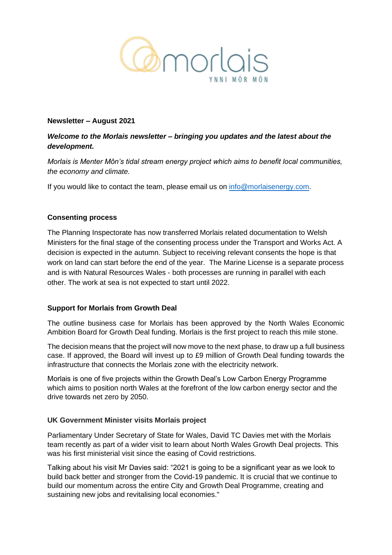

### **Newsletter – August 2021**

# *Welcome to the Morlais newsletter – bringing you updates and the latest about the development.*

*Morlais is Menter Môn's tidal stream energy project which aims to benefit local communities, the economy and climate.*

If you would like to contact the team, please email us on [info@morlaisenergy.com.](mailto:info@morlaisenergy.com)

### **Consenting process**

The Planning Inspectorate has now transferred Morlais related documentation to Welsh Ministers for the final stage of the consenting process under the Transport and Works Act. A decision is expected in the autumn. Subject to receiving relevant consents the hope is that work on land can start before the end of the year. The Marine License is a separate process and is with Natural Resources Wales - both processes are running in parallel with each other. The work at sea is not expected to start until 2022.

### **Support for Morlais from Growth Deal**

The outline business case for Morlais has been approved by the North Wales Economic Ambition Board for Growth Deal funding. Morlais is the first project to reach this mile stone.

The decision means that the project will now move to the next phase, to draw up a full business case. If approved, the Board will invest up to £9 million of Growth Deal funding towards the infrastructure that connects the Morlais zone with the electricity network.

Morlais is one of five projects within the Growth Deal's Low Carbon Energy Programme which aims to position north Wales at the forefront of the low carbon energy sector and the drive towards net zero by 2050.

### **UK Government Minister visits Morlais project**

Parliamentary Under Secretary of State for Wales, David TC Davies met with the Morlais team recently as part of a wider visit to learn about North Wales Growth Deal projects. This was his first ministerial visit since the easing of Covid restrictions.

Talking about his visit Mr Davies said: "2021 is going to be a significant year as we look to build back better and stronger from the Covid-19 pandemic. It is crucial that we continue to build our momentum across the entire City and Growth Deal Programme, creating and sustaining new jobs and revitalising local economies."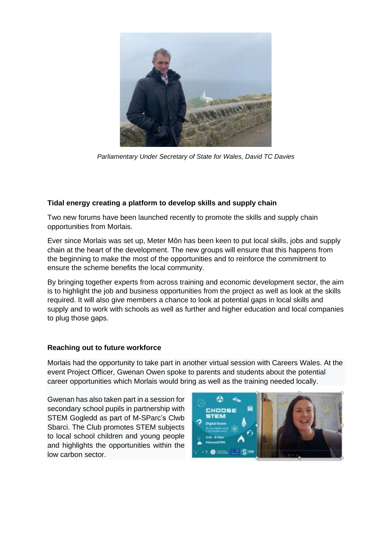

*Parliamentary Under Secretary of State for Wales, David TC Davies*

### **Tidal energy creating a platform to develop skills and supply chain**

Two new forums have been launched recently to promote the skills and supply chain opportunities from Morlais.

Ever since Morlais was set up, Meter Môn has been keen to put local skills, jobs and supply chain at the heart of the development. The new groups will ensure that this happens from the beginning to make the most of the opportunities and to reinforce the commitment to ensure the scheme benefits the local community.

By bringing together experts from across training and economic development sector, the aim is to highlight the job and business opportunities from the project as well as look at the skills required. It will also give members a chance to look at potential gaps in local skills and supply and to work with schools as well as further and higher education and local companies to plug those gaps.

### **Reaching out to future workforce**

Morlais had the opportunity to take part in another virtual session with Careers Wales. At the event Project Officer, Gwenan Owen spoke to parents and students about the potential career opportunities which Morlais would bring as well as the training needed locally.

Gwenan has also taken part in a session for secondary school pupils in partnership with STEM Gogledd as part of M-SParc's Clwb Sbarci. The Club promotes STEM subjects to local school children and young people and highlights the opportunities within the low carbon sector.